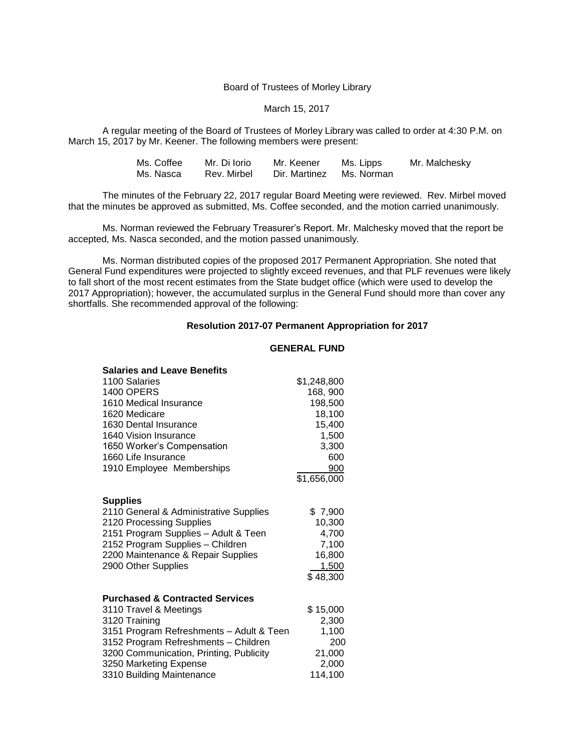#### Board of Trustees of Morley Library

### March 15, 2017

A regular meeting of the Board of Trustees of Morley Library was called to order at 4:30 P.M. on March 15, 2017 by Mr. Keener. The following members were present:

| Ms. Coffee | Mr. Di Iorio | Mr. Keener               | Ms. Lipps | Mr. Malchesky |
|------------|--------------|--------------------------|-----------|---------------|
| Ms. Nasca  | Rev. Mirbel  | Dir. Martinez Ms. Norman |           |               |

The minutes of the February 22, 2017 regular Board Meeting were reviewed. Rev. Mirbel moved that the minutes be approved as submitted, Ms. Coffee seconded, and the motion carried unanimously.

Ms. Norman reviewed the February Treasurer's Report. Mr. Malchesky moved that the report be accepted, Ms. Nasca seconded, and the motion passed unanimously.

Ms. Norman distributed copies of the proposed 2017 Permanent Appropriation. She noted that General Fund expenditures were projected to slightly exceed revenues, and that PLF revenues were likely to fall short of the most recent estimates from the State budget office (which were used to develop the 2017 Appropriation); however, the accumulated surplus in the General Fund should more than cover any shortfalls. She recommended approval of the following:

#### **Resolution 2017-07 Permanent Appropriation for 2017**

#### **GENERAL FUND**

| <b>Salaries and Leave Benefits</b>         |             |
|--------------------------------------------|-------------|
| 1100 Salaries                              | \$1,248,800 |
| <b>1400 OPERS</b>                          | 168, 900    |
| 1610 Medical Insurance                     | 198,500     |
| 1620 Medicare                              | 18,100      |
| 1630 Dental Insurance                      | 15,400      |
| 1640 Vision Insurance                      | 1,500       |
| 1650 Worker's Compensation                 | 3,300       |
| 1660 Life Insurance                        | 600         |
| 1910 Employee Memberships                  | 900         |
|                                            | \$1,656,000 |
| <b>Supplies</b>                            |             |
| 2110 General & Administrative Supplies     | \$7,900     |
| 2120 Processing Supplies                   | 10,300      |
| 2151 Program Supplies - Adult & Teen       | 4,700       |
| 2152 Program Supplies - Children           | 7,100       |
| 2200 Maintenance & Repair Supplies         | 16,800      |
| 2900 Other Supplies                        | 1,500       |
|                                            | \$48,300    |
| <b>Purchased &amp; Contracted Services</b> |             |
| 3110 Travel & Meetings                     | \$15,000    |
| 3120 Training                              | 2,300       |
| 3151 Program Refreshments - Adult & Teen   | 1,100       |
| 3152 Program Refreshments - Children       | 200         |
| 3200 Communication, Printing, Publicity    | 21,000      |
| 3250 Marketing Expense                     | 2,000       |
| 3310 Building Maintenance                  | 114,100     |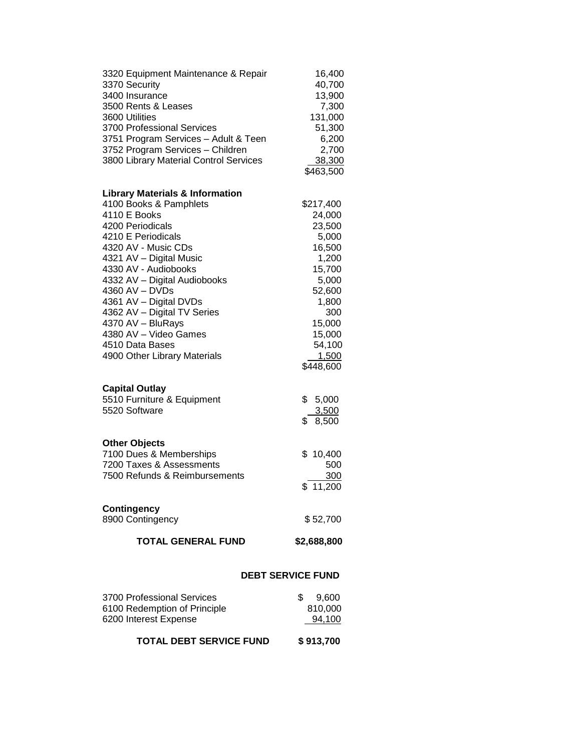| 3320 Equipment Maintenance & Repair<br>3370 Security<br>3400 Insurance<br>3500 Rents & Leases<br>3600 Utilities<br>3700 Professional Services<br>3751 Program Services - Adult & Teen<br>3752 Program Services - Children<br>3800 Library Material Control Services                                                 | 16,400<br>40,700<br>13,900<br>7,300<br>131,000<br>51,300<br>6,200<br>2,700<br>38,300<br>\$463,500                          |  |  |
|---------------------------------------------------------------------------------------------------------------------------------------------------------------------------------------------------------------------------------------------------------------------------------------------------------------------|----------------------------------------------------------------------------------------------------------------------------|--|--|
| <b>Library Materials &amp; Information</b>                                                                                                                                                                                                                                                                          |                                                                                                                            |  |  |
| 4100 Books & Pamphlets<br>4110 E Books<br>4200 Periodicals<br>4210 E Periodicals<br>4320 AV - Music CDs<br>4321 AV - Digital Music<br>4330 AV - Audiobooks<br>4332 AV - Digital Audiobooks<br>4360 AV - DVDs<br>4361 AV - Digital DVDs<br>4362 AV - Digital TV Series<br>4370 AV - BluRays<br>4380 AV - Video Games | \$217,400<br>24,000<br>23,500<br>5,000<br>16,500<br>1,200<br>15,700<br>5,000<br>52,600<br>1,800<br>300<br>15,000<br>15,000 |  |  |
| 4510 Data Bases<br>4900 Other Library Materials                                                                                                                                                                                                                                                                     | 54,100<br>1,500<br>\$448,600                                                                                               |  |  |
| <b>Capital Outlay</b><br>5510 Furniture & Equipment<br>5520 Software                                                                                                                                                                                                                                                | \$<br>5,000<br>3,500<br>\$<br>8,500                                                                                        |  |  |
| <b>Other Objects</b>                                                                                                                                                                                                                                                                                                |                                                                                                                            |  |  |
| 7100 Dues & Memberships<br>7200 Taxes & Assessments<br>7500 Refunds & Reimbursements                                                                                                                                                                                                                                | \$10,400<br>500<br>300<br>\$11,200                                                                                         |  |  |
| <b>Contingency</b><br>8900 Contingency                                                                                                                                                                                                                                                                              | \$52,700                                                                                                                   |  |  |
| <b>TOTAL GENERAL FUND</b>                                                                                                                                                                                                                                                                                           | \$2,688,800                                                                                                                |  |  |
|                                                                                                                                                                                                                                                                                                                     | <b>DEBT SERVICE FUND</b>                                                                                                   |  |  |
| 3700 Professional Services<br>6100 Redemption of Principle<br>6200 Interest Expense                                                                                                                                                                                                                                 | \$<br>9,600<br>810,000<br>94,100                                                                                           |  |  |

**TOTAL DEBT SERVICE FUND \$ 913,700**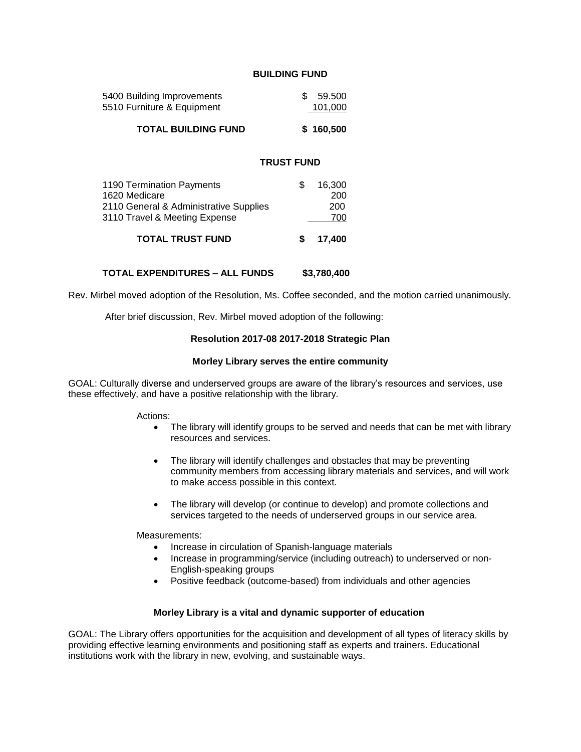## **BUILDING FUND**

| <b>TOTAL BUILDING FUND</b> |     | \$160,500 |
|----------------------------|-----|-----------|
| 5510 Furniture & Equipment |     | 101.000   |
| 5400 Building Improvements | SS. | 59.500    |

## **TRUST FUND**

| <b>TOTAL TRUST FUND</b>                | 17,400 |
|----------------------------------------|--------|
| 3110 Travel & Meeting Expense          | 700    |
| 2110 General & Administrative Supplies | 200    |
| 1620 Medicare                          | 200    |
| 1190 Termination Payments              | 16.300 |
|                                        |        |

#### **TOTAL EXPENDITURES – ALL FUNDS \$3,780,400**

Rev. Mirbel moved adoption of the Resolution, Ms. Coffee seconded, and the motion carried unanimously.

After brief discussion, Rev. Mirbel moved adoption of the following:

## **Resolution 2017-08 2017-2018 Strategic Plan**

#### **Morley Library serves the entire community**

GOAL: Culturally diverse and underserved groups are aware of the library's resources and services, use these effectively, and have a positive relationship with the library.

Actions:

- The library will identify groups to be served and needs that can be met with library resources and services.
- The library will identify challenges and obstacles that may be preventing community members from accessing library materials and services, and will work to make access possible in this context.
- The library will develop (or continue to develop) and promote collections and services targeted to the needs of underserved groups in our service area.

Measurements:

- Increase in circulation of Spanish-language materials
- Increase in programming/service (including outreach) to underserved or non-English-speaking groups
- Positive feedback (outcome-based) from individuals and other agencies

### **Morley Library is a vital and dynamic supporter of education**

GOAL: The Library offers opportunities for the acquisition and development of all types of literacy skills by providing effective learning environments and positioning staff as experts and trainers. Educational institutions work with the library in new, evolving, and sustainable ways.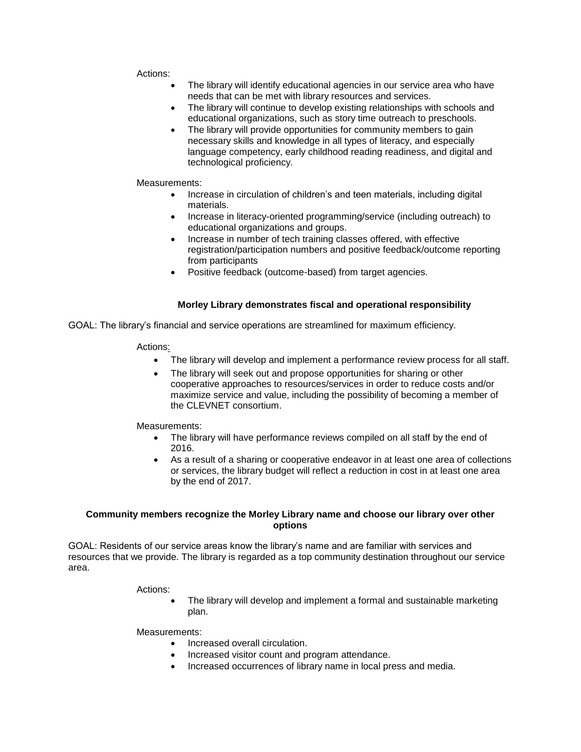### Actions:

- The library will identify educational agencies in our service area who have needs that can be met with library resources and services.
- The library will continue to develop existing relationships with schools and educational organizations, such as story time outreach to preschools.
- The library will provide opportunities for community members to gain necessary skills and knowledge in all types of literacy, and especially language competency, early childhood reading readiness, and digital and technological proficiency.

## Measurements:

- Increase in circulation of children's and teen materials, including digital materials.
- Increase in literacy-oriented programming/service (including outreach) to educational organizations and groups.
- Increase in number of tech training classes offered, with effective registration/participation numbers and positive feedback/outcome reporting from participants
- Positive feedback (outcome-based) from target agencies.

# **Morley Library demonstrates fiscal and operational responsibility**

GOAL: The library's financial and service operations are streamlined for maximum efficiency.

## Actions:

- The library will develop and implement a performance review process for all staff.
- The library will seek out and propose opportunities for sharing or other cooperative approaches to resources/services in order to reduce costs and/or maximize service and value, including the possibility of becoming a member of the CLEVNET consortium.

Measurements:

- The library will have performance reviews compiled on all staff by the end of 2016.
- As a result of a sharing or cooperative endeavor in at least one area of collections or services, the library budget will reflect a reduction in cost in at least one area by the end of 2017.

# **Community members recognize the Morley Library name and choose our library over other options**

GOAL: Residents of our service areas know the library's name and are familiar with services and resources that we provide. The library is regarded as a top community destination throughout our service area.

Actions:

The library will develop and implement a formal and sustainable marketing plan.

Measurements:

- Increased overall circulation.
- Increased visitor count and program attendance.
- Increased occurrences of library name in local press and media.